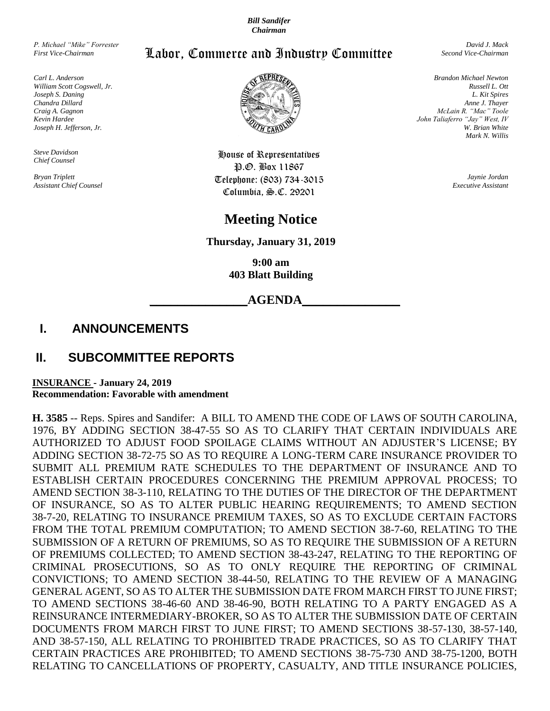*Bill Sandifer Chairman*

*P. Michael "Mike" Forrester First Vice-Chairman*

*Carl L. Anderson William Scott Cogswell, Jr. Joseph S. Daning Chandra Dillard Craig A. Gagnon Kevin Hardee Joseph H. Jefferson, Jr.*

*Steve Davidson Chief Counsel*

*Bryan Triplett Assistant Chief Counsel*



*David J. Mack Second Vice-Chairman*



House of Representatives P.O. Box 11867 Telephone: (803) 734-3015 Columbia, S.C. 29201

# **Meeting Notice**

**Thursday, January 31, 2019**

**9:00 am 403 Blatt Building**

**\_\_\_\_\_\_\_\_\_\_\_\_\_\_AGENDA\_\_\_\_\_\_\_\_\_\_\_\_\_\_**

## **I. ANNOUNCEMENTS**

### **II. SUBCOMMITTEE REPORTS**

**INSURANCE - January 24, 2019 Recommendation: Favorable with amendment**

**H. 3585** -- Reps. Spires and Sandifer: A BILL TO AMEND THE CODE OF LAWS OF SOUTH CAROLINA, 1976, BY ADDING SECTION 38-47-55 SO AS TO CLARIFY THAT CERTAIN INDIVIDUALS ARE AUTHORIZED TO ADJUST FOOD SPOILAGE CLAIMS WITHOUT AN ADJUSTER'S LICENSE; BY ADDING SECTION 38-72-75 SO AS TO REQUIRE A LONG-TERM CARE INSURANCE PROVIDER TO SUBMIT ALL PREMIUM RATE SCHEDULES TO THE DEPARTMENT OF INSURANCE AND TO ESTABLISH CERTAIN PROCEDURES CONCERNING THE PREMIUM APPROVAL PROCESS; TO AMEND SECTION 38-3-110, RELATING TO THE DUTIES OF THE DIRECTOR OF THE DEPARTMENT OF INSURANCE, SO AS TO ALTER PUBLIC HEARING REQUIREMENTS; TO AMEND SECTION 38-7-20, RELATING TO INSURANCE PREMIUM TAXES, SO AS TO EXCLUDE CERTAIN FACTORS FROM THE TOTAL PREMIUM COMPUTATION; TO AMEND SECTION 38-7-60, RELATING TO THE SUBMISSION OF A RETURN OF PREMIUMS, SO AS TO REQUIRE THE SUBMISSION OF A RETURN OF PREMIUMS COLLECTED; TO AMEND SECTION 38-43-247, RELATING TO THE REPORTING OF CRIMINAL PROSECUTIONS, SO AS TO ONLY REQUIRE THE REPORTING OF CRIMINAL CONVICTIONS; TO AMEND SECTION 38-44-50, RELATING TO THE REVIEW OF A MANAGING GENERAL AGENT, SO AS TO ALTER THE SUBMISSION DATE FROM MARCH FIRST TO JUNE FIRST; TO AMEND SECTIONS 38-46-60 AND 38-46-90, BOTH RELATING TO A PARTY ENGAGED AS A REINSURANCE INTERMEDIARY-BROKER, SO AS TO ALTER THE SUBMISSION DATE OF CERTAIN DOCUMENTS FROM MARCH FIRST TO JUNE FIRST; TO AMEND SECTIONS 38-57-130, 38-57-140, AND 38-57-150, ALL RELATING TO PROHIBITED TRADE PRACTICES, SO AS TO CLARIFY THAT CERTAIN PRACTICES ARE PROHIBITED; TO AMEND SECTIONS 38-75-730 AND 38-75-1200, BOTH RELATING TO CANCELLATIONS OF PROPERTY, CASUALTY, AND TITLE INSURANCE POLICIES,

*Brandon Michael Newton Russell L. Ott L. Kit Spires Anne J. Thayer McLain R. "Mac" Toole John Taliaferro "Jay" West, IV W. Brian White Mark N. Willis*

> *Jaynie Jordan Executive Assistant*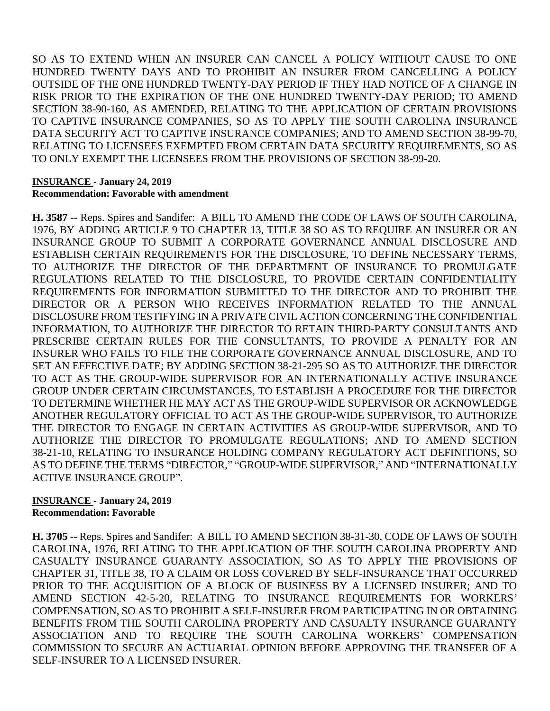SO AS TO EXTEND WHEN AN INSURER CAN CANCEL A POLICY WITHOUT CAUSE TO ONE HUNDRED TWENTY DAYS AND TO PROHIBIT AN INSURER FROM CANCELLING A POLICY OUTSIDE OF THE ONE HUNDRED TWENTY-DAY PERIOD IF THEY HAD NOTICE OF A CHANGE IN RISK PRIOR TO THE EXPIRATION OF THE ONE HUNDRED TWENTY-DAY PERIOD; TO AMEND SECTION 38-90-160, AS AMENDED, RELATING TO THE APPLICATION OF CERTAIN PROVISIONS TO CAPTIVE INSURANCE COMPANIES, SO AS TO APPLY THE SOUTH CAROLINA INSURANCE DATA SECURITY ACT TO CAPTIVE INSURANCE COMPANIES; AND TO AMEND SECTION 38-99-70, RELATING TO LICENSEES EXEMPTED FROM CERTAIN DATA SECURITY REQUIREMENTS, SO AS TO ONLY EXEMPT THE LICENSEES FROM THE PROVISIONS OF SECTION 38-99-20.

### **INSURANCE - January 24, 2019 Recommendation: Favorable with amendment**

**H. 3587** -- Reps. Spires and Sandifer: A BILL TO AMEND THE CODE OF LAWS OF SOUTH CAROLINA, 1976, BY ADDING ARTICLE 9 TO CHAPTER 13, TITLE 38 SO AS TO REQUIRE AN INSURER OR AN INSURANCE GROUP TO SUBMIT A CORPORATE GOVERNANCE ANNUAL DISCLOSURE AND ESTABLISH CERTAIN REQUIREMENTS FOR THE DISCLOSURE, TO DEFINE NECESSARY TERMS, TO AUTHORIZE THE DIRECTOR OF THE DEPARTMENT OF INSURANCE TO PROMULGATE REGULATIONS RELATED TO THE DISCLOSURE, TO PROVIDE CERTAIN CONFIDENTIALITY REQUIREMENTS FOR INFORMATION SUBMITTED TO THE DIRECTOR AND TO PROHIBIT THE DIRECTOR OR A PERSON WHO RECEIVES INFORMATION RELATED TO THE ANNUAL DISCLOSURE FROM TESTIFYING IN A PRIVATE CIVIL ACTION CONCERNING THE CONFIDENTIAL INFORMATION, TO AUTHORIZE THE DIRECTOR TO RETAIN THIRD-PARTY CONSULTANTS AND PRESCRIBE CERTAIN RULES FOR THE CONSULTANTS, TO PROVIDE A PENALTY FOR AN INSURER WHO FAILS TO FILE THE CORPORATE GOVERNANCE ANNUAL DISCLOSURE, AND TO SET AN EFFECTIVE DATE; BY ADDING SECTION 38-21-295 SO AS TO AUTHORIZE THE DIRECTOR TO ACT AS THE GROUP-WIDE SUPERVISOR FOR AN INTERNATIONALLY ACTIVE INSURANCE GROUP UNDER CERTAIN CIRCUMSTANCES, TO ESTABLISH A PROCEDURE FOR THE DIRECTOR TO DETERMINE WHETHER HE MAY ACT AS THE GROUP-WIDE SUPERVISOR OR ACKNOWLEDGE ANOTHER REGULATORY OFFICIAL TO ACT AS THE GROUP-WIDE SUPERVISOR, TO AUTHORIZE THE DIRECTOR TO ENGAGE IN CERTAIN ACTIVITIES AS GROUP-WIDE SUPERVISOR, AND TO AUTHORIZE THE DIRECTOR TO PROMULGATE REGULATIONS; AND TO AMEND SECTION 38-21-10, RELATING TO INSURANCE HOLDING COMPANY REGULATORY ACT DEFINITIONS, SO AS TO DEFINE THE TERMS "DIRECTOR," "GROUP-WIDE SUPERVISOR," AND "INTERNATIONALLY ACTIVE INSURANCE GROUP".

#### **INSURANCE - January 24, 2019 Recommendation: Favorable**

**H. 3705** -- Reps. Spires and Sandifer: A BILL TO AMEND SECTION 38-31-30, CODE OF LAWS OF SOUTH CAROLINA, 1976, RELATING TO THE APPLICATION OF THE SOUTH CAROLINA PROPERTY AND CASUALTY INSURANCE GUARANTY ASSOCIATION, SO AS TO APPLY THE PROVISIONS OF CHAPTER 31, TITLE 38, TO A CLAIM OR LOSS COVERED BY SELF-INSURANCE THAT OCCURRED PRIOR TO THE ACQUISITION OF A BLOCK OF BUSINESS BY A LICENSED INSURER; AND TO AMEND SECTION 42-5-20, RELATING TO INSURANCE REQUIREMENTS FOR WORKERS' COMPENSATION, SO AS TO PROHIBIT A SELF-INSURER FROM PARTICIPATING IN OR OBTAINING BENEFITS FROM THE SOUTH CAROLINA PROPERTY AND CASUALTY INSURANCE GUARANTY ASSOCIATION AND TO REQUIRE THE SOUTH CAROLINA WORKERS' COMPENSATION COMMISSION TO SECURE AN ACTUARIAL OPINION BEFORE APPROVING THE TRANSFER OF A SELF-INSURER TO A LICENSED INSURER.